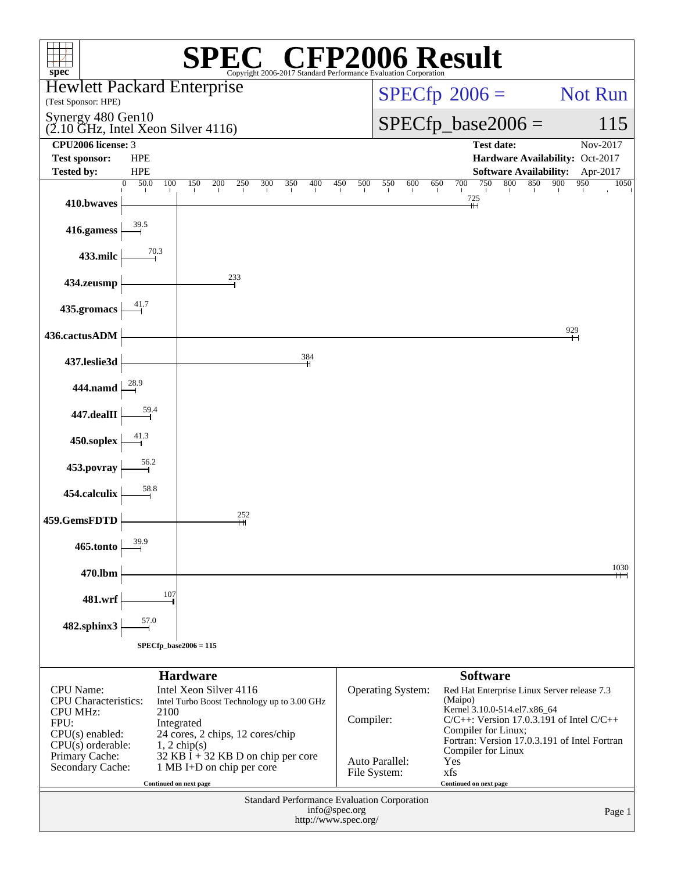| $spec^*$                                                                                       |                          |                 |                                                                 | $\mathbb{C}^{\circledast}$ CFP2006 Result<br>Copyright 2006-2017 Standard Performance Evaluation Corporation |     |                                                                                            |     |     |                                                      |                     |     |                                  |                        |     |        |                                              |     |                |
|------------------------------------------------------------------------------------------------|--------------------------|-----------------|-----------------------------------------------------------------|--------------------------------------------------------------------------------------------------------------|-----|--------------------------------------------------------------------------------------------|-----|-----|------------------------------------------------------|---------------------|-----|----------------------------------|------------------------|-----|--------|----------------------------------------------|-----|----------------|
| <b>Hewlett Packard Enterprise</b>                                                              |                          |                 |                                                                 |                                                                                                              |     |                                                                                            |     |     |                                                      |                     |     |                                  |                        |     |        |                                              |     | <b>Not Run</b> |
| (Test Sponsor: HPE)<br>Synergy 480 Gen10                                                       |                          |                 |                                                                 |                                                                                                              |     |                                                                                            |     |     | $SPECfp^{\circledast}2006 =$<br>$SPECfp\_base2006 =$ |                     |     |                                  |                        |     |        |                                              |     |                |
| $(2.10 \text{ GHz}, \text{Intel Xeon Silver } 4116)$                                           |                          |                 |                                                                 |                                                                                                              |     |                                                                                            |     |     |                                                      |                     |     |                                  |                        |     |        |                                              |     | 115            |
| CPU <sub>2006</sub> license: 3<br><b>Test sponsor:</b>                                         | <b>HPE</b>               |                 |                                                                 |                                                                                                              |     |                                                                                            |     |     |                                                      |                     |     |                                  | <b>Test date:</b>      |     |        | Hardware Availability: Oct-2017              |     | Nov-2017       |
| <b>Tested by:</b>                                                                              | <b>HPE</b>               |                 |                                                                 |                                                                                                              |     |                                                                                            |     |     |                                                      |                     |     |                                  |                        |     |        | <b>Software Availability:</b>                |     | Apr-2017       |
| 410.bwaves                                                                                     | 50.0<br>$\theta$<br>100  | 150             | 200<br>250                                                      | 300                                                                                                          | 350 | 400                                                                                        | 450 | 500 | 550                                                  | 600                 | 650 | 700                              | 750<br>$\frac{725}{+}$ | 800 | 850    | 900                                          | 950 | 1050           |
| 416.gamess                                                                                     | 39.5                     |                 |                                                                 |                                                                                                              |     |                                                                                            |     |     |                                                      |                     |     |                                  |                        |     |        |                                              |     |                |
| 433.milc                                                                                       | 70.3                     |                 |                                                                 |                                                                                                              |     |                                                                                            |     |     |                                                      |                     |     |                                  |                        |     |        |                                              |     |                |
| 434.zeusmp                                                                                     |                          |                 | 233                                                             |                                                                                                              |     |                                                                                            |     |     |                                                      |                     |     |                                  |                        |     |        |                                              |     |                |
| 435.gromacs                                                                                    | 41.7                     |                 |                                                                 |                                                                                                              |     |                                                                                            |     |     |                                                      |                     |     |                                  |                        |     |        |                                              |     |                |
| 436.cactusADM                                                                                  |                          |                 |                                                                 |                                                                                                              |     |                                                                                            |     |     |                                                      |                     |     |                                  |                        |     |        |                                              | 929 |                |
| 437.leslie3d                                                                                   |                          |                 |                                                                 |                                                                                                              |     | 384                                                                                        |     |     |                                                      |                     |     |                                  |                        |     |        |                                              |     |                |
| 444.namd                                                                                       | 28.9                     |                 |                                                                 |                                                                                                              |     |                                                                                            |     |     |                                                      |                     |     |                                  |                        |     |        |                                              |     |                |
| 447.dealII                                                                                     | 59.4                     |                 |                                                                 |                                                                                                              |     |                                                                                            |     |     |                                                      |                     |     |                                  |                        |     |        |                                              |     |                |
| 450.soplex                                                                                     | 41.3                     |                 |                                                                 |                                                                                                              |     |                                                                                            |     |     |                                                      |                     |     |                                  |                        |     |        |                                              |     |                |
| 453.povray                                                                                     | 56.2                     |                 |                                                                 |                                                                                                              |     |                                                                                            |     |     |                                                      |                     |     |                                  |                        |     |        |                                              |     |                |
| 454.calculix                                                                                   | 58.8                     |                 |                                                                 |                                                                                                              |     |                                                                                            |     |     |                                                      |                     |     |                                  |                        |     |        |                                              |     |                |
| 459.GemsFDTD                                                                                   |                          |                 | 252<br>н                                                        |                                                                                                              |     |                                                                                            |     |     |                                                      |                     |     |                                  |                        |     |        |                                              |     |                |
| 465.tonto                                                                                      | 39.9                     |                 |                                                                 |                                                                                                              |     |                                                                                            |     |     |                                                      |                     |     |                                  |                        |     |        |                                              |     |                |
| 470.lbm                                                                                        |                          |                 |                                                                 |                                                                                                              |     |                                                                                            |     |     |                                                      |                     |     |                                  |                        |     |        |                                              |     | 1030<br>$\pm$  |
| 481.wrf                                                                                        | 107                      |                 |                                                                 |                                                                                                              |     |                                                                                            |     |     |                                                      |                     |     |                                  |                        |     |        |                                              |     |                |
| 482.sphinx3                                                                                    | 57.0                     |                 |                                                                 |                                                                                                              |     |                                                                                            |     |     |                                                      |                     |     |                                  |                        |     |        |                                              |     |                |
|                                                                                                | $SPECfp\_base2006 = 115$ |                 |                                                                 |                                                                                                              |     |                                                                                            |     |     |                                                      |                     |     |                                  |                        |     |        |                                              |     |                |
|                                                                                                |                          | <b>Hardware</b> |                                                                 |                                                                                                              |     |                                                                                            |     |     |                                                      |                     |     |                                  | <b>Software</b>        |     |        |                                              |     |                |
| <b>CPU</b> Name:<br><b>CPU</b> Characteristics:                                                |                          |                 | Intel Xeon Silver 4116                                          |                                                                                                              |     |                                                                                            |     |     |                                                      | Operating System:   |     | (Maipo)                          |                        |     |        | Red Hat Enterprise Linux Server release 7.3  |     |                |
| Intel Turbo Boost Technology up to 3.00 GHz<br><b>CPU MHz:</b><br>2100<br>FPU:<br>Integrated   |                          |                 |                                                                 |                                                                                                              |     | Kernel 3.10.0-514.el7.x86_64<br>Compiler:<br>$C/C++$ : Version 17.0.3.191 of Intel $C/C++$ |     |     |                                                      |                     |     |                                  |                        |     |        |                                              |     |                |
| $CPU(s)$ enabled:<br>24 cores, 2 chips, 12 cores/chip<br>$CPU(s)$ orderable:<br>$1, 2$ chip(s) |                          |                 |                                                                 |                                                                                                              |     |                                                                                            |     |     |                                                      | Compiler for Linux; |     |                                  |                        |     |        | Fortran: Version 17.0.3.191 of Intel Fortran |     |                |
| Primary Cache:<br>Secondary Cache:                                                             |                          |                 | 32 KB I + 32 KB D on chip per core<br>1 MB I+D on chip per core |                                                                                                              |     |                                                                                            |     |     | Auto Parallel:<br>File System:                       |                     |     | Compiler for Linux<br>Yes<br>xfs |                        |     |        |                                              |     |                |
|                                                                                                | Continued on next page   |                 |                                                                 |                                                                                                              |     |                                                                                            |     |     |                                                      |                     |     | Continued on next page           |                        |     |        |                                              |     |                |
| Standard Performance Evaluation Corporation<br>info@spec.org<br>http://www.spec.org/           |                          |                 |                                                                 |                                                                                                              |     |                                                                                            |     |     |                                                      |                     |     |                                  |                        |     | Page 1 |                                              |     |                |
|                                                                                                |                          |                 |                                                                 |                                                                                                              |     |                                                                                            |     |     |                                                      |                     |     |                                  |                        |     |        |                                              |     |                |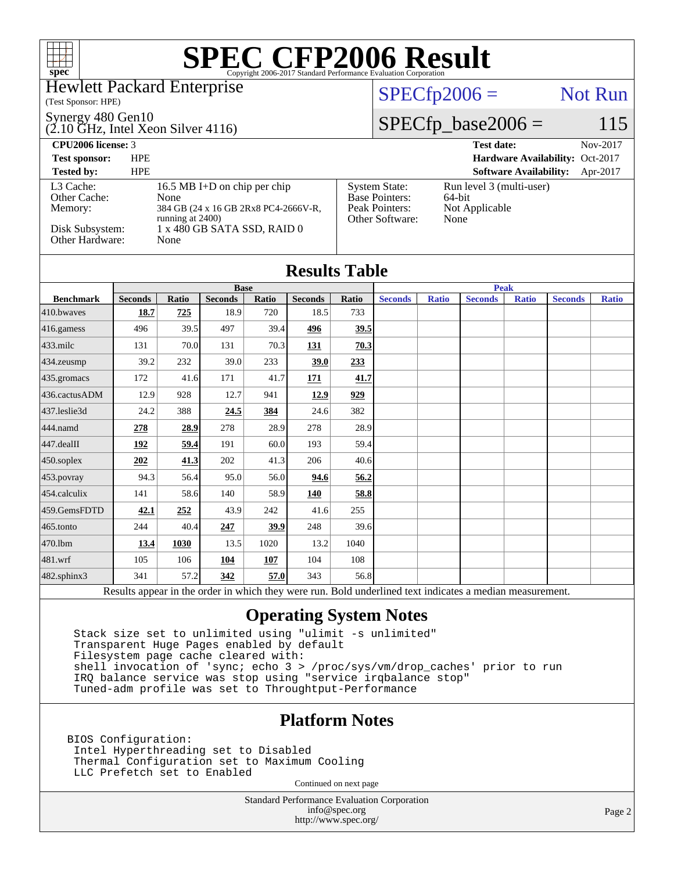

#### Hewlett Packard Enterprise

(Test Sponsor: HPE)

#### Synergy 480 Gen10

(2.10 GHz, Intel Xeon Silver 4116)

### $SPECTp2006 =$  Not Run

[System State:](http://www.spec.org/auto/cpu2006/Docs/result-fields.html#SystemState) Run level 3 (multi-user)<br>Base Pointers: 64-bit

[Peak Pointers:](http://www.spec.org/auto/cpu2006/Docs/result-fields.html#PeakPointers) Not Applicable

[Other Software:](http://www.spec.org/auto/cpu2006/Docs/result-fields.html#OtherSoftware) None

[Base Pointers:](http://www.spec.org/auto/cpu2006/Docs/result-fields.html#BasePointers)

### $SPECfp\_base2006 = 115$

**[CPU2006 license:](http://www.spec.org/auto/cpu2006/Docs/result-fields.html#CPU2006license)** 3 **[Test date:](http://www.spec.org/auto/cpu2006/Docs/result-fields.html#Testdate)** Nov-2017

**[Test sponsor:](http://www.spec.org/auto/cpu2006/Docs/result-fields.html#Testsponsor)** HPE **[Hardware Availability:](http://www.spec.org/auto/cpu2006/Docs/result-fields.html#HardwareAvailability)** Oct-2017

#### **[Tested by:](http://www.spec.org/auto/cpu2006/Docs/result-fields.html#Testedby)** HPE **[Software Availability:](http://www.spec.org/auto/cpu2006/Docs/result-fields.html#SoftwareAvailability)** Apr-2017 [L3 Cache:](http://www.spec.org/auto/cpu2006/Docs/result-fields.html#L3Cache) 16.5 MB I+D on chip per chip<br>Other Cache: None [Other Cache:](http://www.spec.org/auto/cpu2006/Docs/result-fields.html#OtherCache) [Memory:](http://www.spec.org/auto/cpu2006/Docs/result-fields.html#Memory) 384 GB (24 x 16 GB 2Rx8 PC4-2666V-R, running at 2400) [Disk Subsystem:](http://www.spec.org/auto/cpu2006/Docs/result-fields.html#DiskSubsystem) 1 x 480 GB SATA SSD, RAID 0 [Other Hardware:](http://www.spec.org/auto/cpu2006/Docs/result-fields.html#OtherHardware) None

|                  |                                                                                                                                              |                                            |        |         | <b>Results Table</b> |           |  |  |                |              |                |              |
|------------------|----------------------------------------------------------------------------------------------------------------------------------------------|--------------------------------------------|--------|---------|----------------------|-----------|--|--|----------------|--------------|----------------|--------------|
|                  | <b>Base</b><br><b>Seconds</b><br><b>Seconds</b><br><b>Ratio</b><br><b>Seconds</b><br>Ratio<br><b>Ratio</b><br><b>Seconds</b><br><b>Ratio</b> |                                            |        |         |                      |           |  |  |                | <b>Peak</b>  |                |              |
| <b>Benchmark</b> |                                                                                                                                              |                                            |        |         |                      |           |  |  | <b>Seconds</b> | <b>Ratio</b> | <b>Seconds</b> | <b>Ratio</b> |
| 410.bwaves       | 18.7                                                                                                                                         | 725                                        | 18.9   | 720     | 18.5                 | 733       |  |  |                |              |                |              |
| 416.gamess       | 496                                                                                                                                          | 39.5                                       | 497    | 39.4    | 496                  | 39.5      |  |  |                |              |                |              |
| 433.milc         | 131                                                                                                                                          | 70.0                                       | 131    | 70.3    | 131                  | 70.3      |  |  |                |              |                |              |
| 434.zeusmp       | 39.2                                                                                                                                         | 232                                        | 39.0   | 233     | 39.0                 | 233       |  |  |                |              |                |              |
| 435.gromacs      | 172                                                                                                                                          | 41.6                                       | 171    | 41.7    | 171                  | 41.7      |  |  |                |              |                |              |
| 436.cactusADM    | 12.9                                                                                                                                         | 928                                        | 12.7   | 941     | 12.9                 | 929       |  |  |                |              |                |              |
| 437.leslie3d     | 24.2                                                                                                                                         | 388                                        | 24.5   | 384     | 24.6                 | 382       |  |  |                |              |                |              |
| 444.namd         | 278                                                                                                                                          | 28.9                                       | 278    | 28.9    | 278                  | 28.9      |  |  |                |              |                |              |
| 447.dealII       | 192                                                                                                                                          | 59.4                                       | 191    | 60.0    | 193                  | 59.4      |  |  |                |              |                |              |
| 450.soplex       | 202                                                                                                                                          | 41.3                                       | 202    | 41.3    | 206                  | 40.6      |  |  |                |              |                |              |
| 453.povray       | 94.3                                                                                                                                         | 56.4                                       | 95.0   | 56.0    | 94.6                 | 56.2      |  |  |                |              |                |              |
| 454.calculix     | 141                                                                                                                                          | 58.6                                       | 140    | 58.9    | 140                  | 58.8      |  |  |                |              |                |              |
| 459.GemsFDTD     | 42.1                                                                                                                                         | 252                                        | 43.9   | 242     | 41.6                 | 255       |  |  |                |              |                |              |
| 465.tonto        | 244                                                                                                                                          | 40.4                                       | 247    | 39.9    | 248                  | 39.6      |  |  |                |              |                |              |
| 470.1bm          | 13.4                                                                                                                                         | 1030                                       | 13.5   | 1020    | 13.2                 | 1040      |  |  |                |              |                |              |
| 481.wrf          | 105                                                                                                                                          | 106                                        | 104    | 107     | 104                  | 108       |  |  |                |              |                |              |
| 482.sphinx3      | 341                                                                                                                                          | 57.2                                       | 342    | 57.0    | 343                  | 56.8      |  |  |                |              |                |              |
| n.               | $\mathbf{1}$ .                                                                                                                               | $\mathbf{r} = \mathbf{r} \cdot \mathbf{r}$ | $\sim$ | 1.1.1.1 |                      | $T = 1.1$ |  |  | $\cdot$        |              |                |              |

Results appear in the [order in which they were run.](http://www.spec.org/auto/cpu2006/Docs/result-fields.html#RunOrder) Bold underlined text [indicates a median measurement.](http://www.spec.org/auto/cpu2006/Docs/result-fields.html#Median)

### **[Operating System Notes](http://www.spec.org/auto/cpu2006/Docs/result-fields.html#OperatingSystemNotes)**

 Stack size set to unlimited using "ulimit -s unlimited" Transparent Huge Pages enabled by default Filesystem page cache cleared with: shell invocation of 'sync; echo 3 > /proc/sys/vm/drop\_caches' prior to run IRQ balance service was stop using "service irqbalance stop" Tuned-adm profile was set to Throughtput-Performance

### **[Platform Notes](http://www.spec.org/auto/cpu2006/Docs/result-fields.html#PlatformNotes)**

BIOS Configuration: Intel Hyperthreading set to Disabled Thermal Configuration set to Maximum Cooling LLC Prefetch set to Enabled

Continued on next page

Standard Performance Evaluation Corporation [info@spec.org](mailto:info@spec.org) <http://www.spec.org/>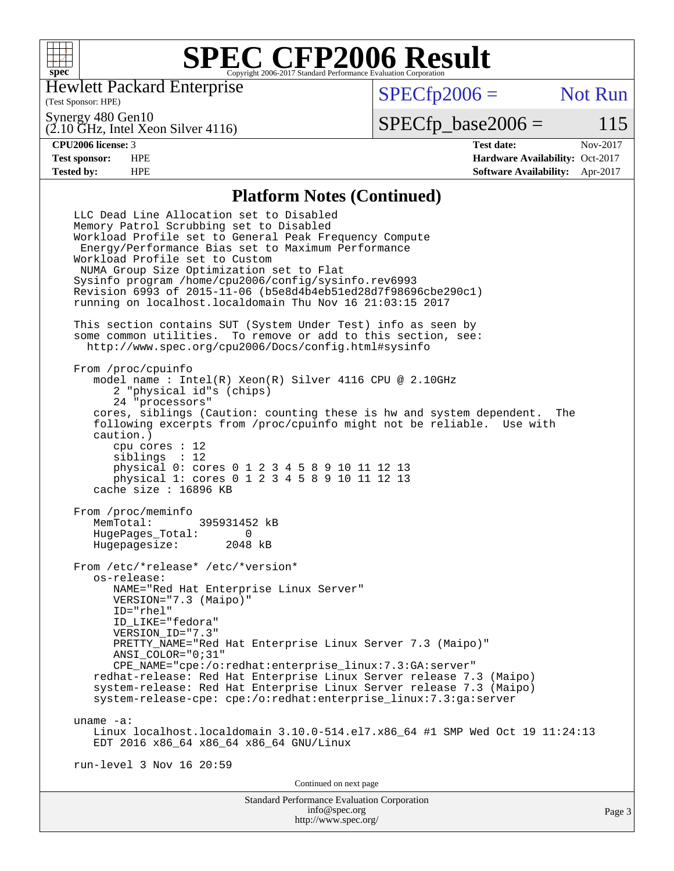

Hewlett Packard Enterprise

(Test Sponsor: HPE)

 $SPECfp2006 =$  Not Run

Synergy 480 Gen10

(2.10 GHz, Intel Xeon Silver 4116)

 $SPECfp\_base2006 = 115$ 

**[CPU2006 license:](http://www.spec.org/auto/cpu2006/Docs/result-fields.html#CPU2006license)** 3 **[Test date:](http://www.spec.org/auto/cpu2006/Docs/result-fields.html#Testdate)** Nov-2017 **[Test sponsor:](http://www.spec.org/auto/cpu2006/Docs/result-fields.html#Testsponsor)** HPE **[Hardware Availability:](http://www.spec.org/auto/cpu2006/Docs/result-fields.html#HardwareAvailability)** Oct-2017 **[Tested by:](http://www.spec.org/auto/cpu2006/Docs/result-fields.html#Testedby)** HPE **[Software Availability:](http://www.spec.org/auto/cpu2006/Docs/result-fields.html#SoftwareAvailability)** Apr-2017

#### **[Platform Notes \(Continued\)](http://www.spec.org/auto/cpu2006/Docs/result-fields.html#PlatformNotes)**

Standard Performance Evaluation Corporation [info@spec.org](mailto:info@spec.org) LLC Dead Line Allocation set to Disabled Memory Patrol Scrubbing set to Disabled Workload Profile set to General Peak Frequency Compute Energy/Performance Bias set to Maximum Performance Workload Profile set to Custom NUMA Group Size Optimization set to Flat Sysinfo program /home/cpu2006/config/sysinfo.rev6993 Revision 6993 of 2015-11-06 (b5e8d4b4eb51ed28d7f98696cbe290c1) running on localhost.localdomain Thu Nov 16 21:03:15 2017 This section contains SUT (System Under Test) info as seen by some common utilities. To remove or add to this section, see: <http://www.spec.org/cpu2006/Docs/config.html#sysinfo> From /proc/cpuinfo model name : Intel(R) Xeon(R) Silver 4116 CPU @ 2.10GHz 2 "physical id"s (chips) 24 "processors" cores, siblings (Caution: counting these is hw and system dependent. The following excerpts from /proc/cpuinfo might not be reliable. Use with caution.) cpu cores : 12 siblings : 12 physical 0: cores 0 1 2 3 4 5 8 9 10 11 12 13 physical 1: cores 0 1 2 3 4 5 8 9 10 11 12 13 cache size : 16896 KB From /proc/meminfo<br>MemTotal: 395931452 kB HugePages\_Total: 0 Hugepagesize: 2048 kB From /etc/\*release\* /etc/\*version\* os-release: NAME="Red Hat Enterprise Linux Server" VERSION="7.3 (Maipo)" ID="rhel" ID\_LIKE="fedora" VERSION\_ID="7.3" PRETTY NAME="Red Hat Enterprise Linux Server 7.3 (Maipo)" ANSI\_COLOR="0;31" CPE\_NAME="cpe:/o:redhat:enterprise\_linux:7.3:GA:server" redhat-release: Red Hat Enterprise Linux Server release 7.3 (Maipo) system-release: Red Hat Enterprise Linux Server release 7.3 (Maipo) system-release-cpe: cpe:/o:redhat:enterprise\_linux:7.3:ga:server uname -a: Linux localhost.localdomain 3.10.0-514.el7.x86\_64 #1 SMP Wed Oct 19 11:24:13 EDT 2016 x86\_64 x86\_64 x86\_64 GNU/Linux run-level 3 Nov 16 20:59 Continued on next page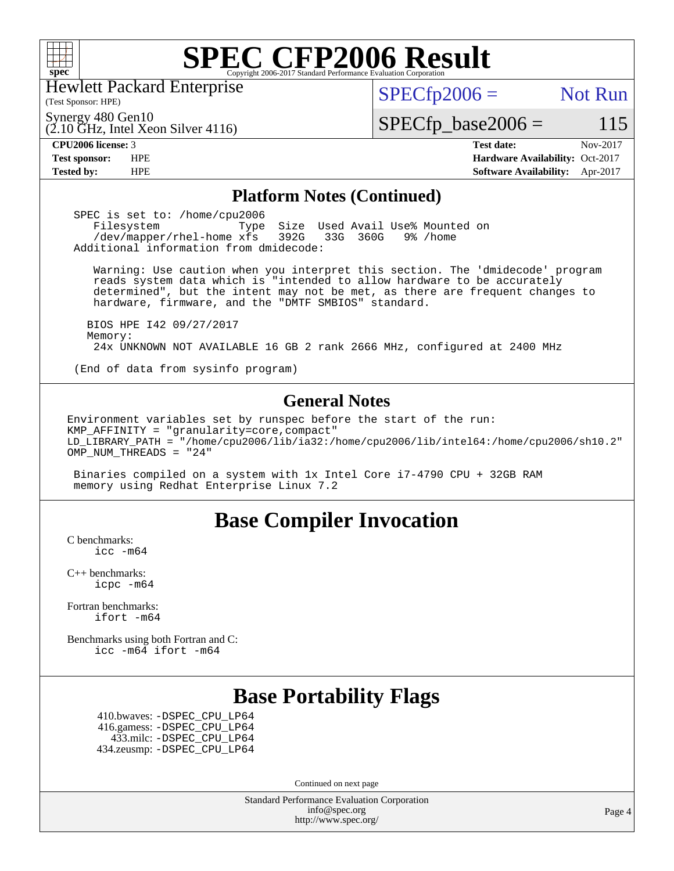

Hewlett Packard Enterprise

(Test Sponsor: HPE)

 $SPECTp2006 =$  Not Run

(2.10 GHz, Intel Xeon Silver 4116) Synergy 480 Gen10

 $SPECfp\_base2006 = 115$ 

#### **[CPU2006 license:](http://www.spec.org/auto/cpu2006/Docs/result-fields.html#CPU2006license)** 3 **[Test date:](http://www.spec.org/auto/cpu2006/Docs/result-fields.html#Testdate)** Nov-2017

**[Test sponsor:](http://www.spec.org/auto/cpu2006/Docs/result-fields.html#Testsponsor)** HPE **[Hardware Availability:](http://www.spec.org/auto/cpu2006/Docs/result-fields.html#HardwareAvailability)** Oct-2017 **[Tested by:](http://www.spec.org/auto/cpu2006/Docs/result-fields.html#Testedby)** HPE **[Software Availability:](http://www.spec.org/auto/cpu2006/Docs/result-fields.html#SoftwareAvailability)** Apr-2017

#### **[Platform Notes \(Continued\)](http://www.spec.org/auto/cpu2006/Docs/result-fields.html#PlatformNotes)**

SPEC is set to: /home/cpu2006<br>Filesystem Type Filesystem Type Size Used Avail Use% Mounted on<br>/dev/mapper/rhel-home xfs 392G 33G 360G 9% /home /dev/mapper/rhel-home xfs 392G Additional information from dmidecode:

 Warning: Use caution when you interpret this section. The 'dmidecode' program reads system data which is "intended to allow hardware to be accurately determined", but the intent may not be met, as there are frequent changes to hardware, firmware, and the "DMTF SMBIOS" standard.

 BIOS HPE I42 09/27/2017 Memory: 24x UNKNOWN NOT AVAILABLE 16 GB 2 rank 2666 MHz, configured at 2400 MHz

(End of data from sysinfo program)

#### **[General Notes](http://www.spec.org/auto/cpu2006/Docs/result-fields.html#GeneralNotes)**

Environment variables set by runspec before the start of the run: KMP AFFINITY = "granularity=core, compact" LD\_LIBRARY\_PATH = "/home/cpu2006/lib/ia32:/home/cpu2006/lib/intel64:/home/cpu2006/sh10.2" OMP NUM THREADS = "24"

 Binaries compiled on a system with 1x Intel Core i7-4790 CPU + 32GB RAM memory using Redhat Enterprise Linux 7.2

## **[Base Compiler Invocation](http://www.spec.org/auto/cpu2006/Docs/result-fields.html#BaseCompilerInvocation)**

[C benchmarks](http://www.spec.org/auto/cpu2006/Docs/result-fields.html#Cbenchmarks): [icc -m64](http://www.spec.org/cpu2006/results/res2017q4/cpu2006-20171128-50857.flags.html#user_CCbase_intel_icc_64bit_bda6cc9af1fdbb0edc3795bac97ada53)

[C++ benchmarks:](http://www.spec.org/auto/cpu2006/Docs/result-fields.html#CXXbenchmarks) [icpc -m64](http://www.spec.org/cpu2006/results/res2017q4/cpu2006-20171128-50857.flags.html#user_CXXbase_intel_icpc_64bit_fc66a5337ce925472a5c54ad6a0de310)

[Fortran benchmarks](http://www.spec.org/auto/cpu2006/Docs/result-fields.html#Fortranbenchmarks): [ifort -m64](http://www.spec.org/cpu2006/results/res2017q4/cpu2006-20171128-50857.flags.html#user_FCbase_intel_ifort_64bit_ee9d0fb25645d0210d97eb0527dcc06e)

[Benchmarks using both Fortran and C](http://www.spec.org/auto/cpu2006/Docs/result-fields.html#BenchmarksusingbothFortranandC): [icc -m64](http://www.spec.org/cpu2006/results/res2017q4/cpu2006-20171128-50857.flags.html#user_CC_FCbase_intel_icc_64bit_bda6cc9af1fdbb0edc3795bac97ada53) [ifort -m64](http://www.spec.org/cpu2006/results/res2017q4/cpu2006-20171128-50857.flags.html#user_CC_FCbase_intel_ifort_64bit_ee9d0fb25645d0210d97eb0527dcc06e)

# **[Base Portability Flags](http://www.spec.org/auto/cpu2006/Docs/result-fields.html#BasePortabilityFlags)**

 410.bwaves: [-DSPEC\\_CPU\\_LP64](http://www.spec.org/cpu2006/results/res2017q4/cpu2006-20171128-50857.flags.html#suite_basePORTABILITY410_bwaves_DSPEC_CPU_LP64) 416.gamess: [-DSPEC\\_CPU\\_LP64](http://www.spec.org/cpu2006/results/res2017q4/cpu2006-20171128-50857.flags.html#suite_basePORTABILITY416_gamess_DSPEC_CPU_LP64) 433.milc: [-DSPEC\\_CPU\\_LP64](http://www.spec.org/cpu2006/results/res2017q4/cpu2006-20171128-50857.flags.html#suite_basePORTABILITY433_milc_DSPEC_CPU_LP64) 434.zeusmp: [-DSPEC\\_CPU\\_LP64](http://www.spec.org/cpu2006/results/res2017q4/cpu2006-20171128-50857.flags.html#suite_basePORTABILITY434_zeusmp_DSPEC_CPU_LP64)

Continued on next page

Standard Performance Evaluation Corporation [info@spec.org](mailto:info@spec.org) <http://www.spec.org/>